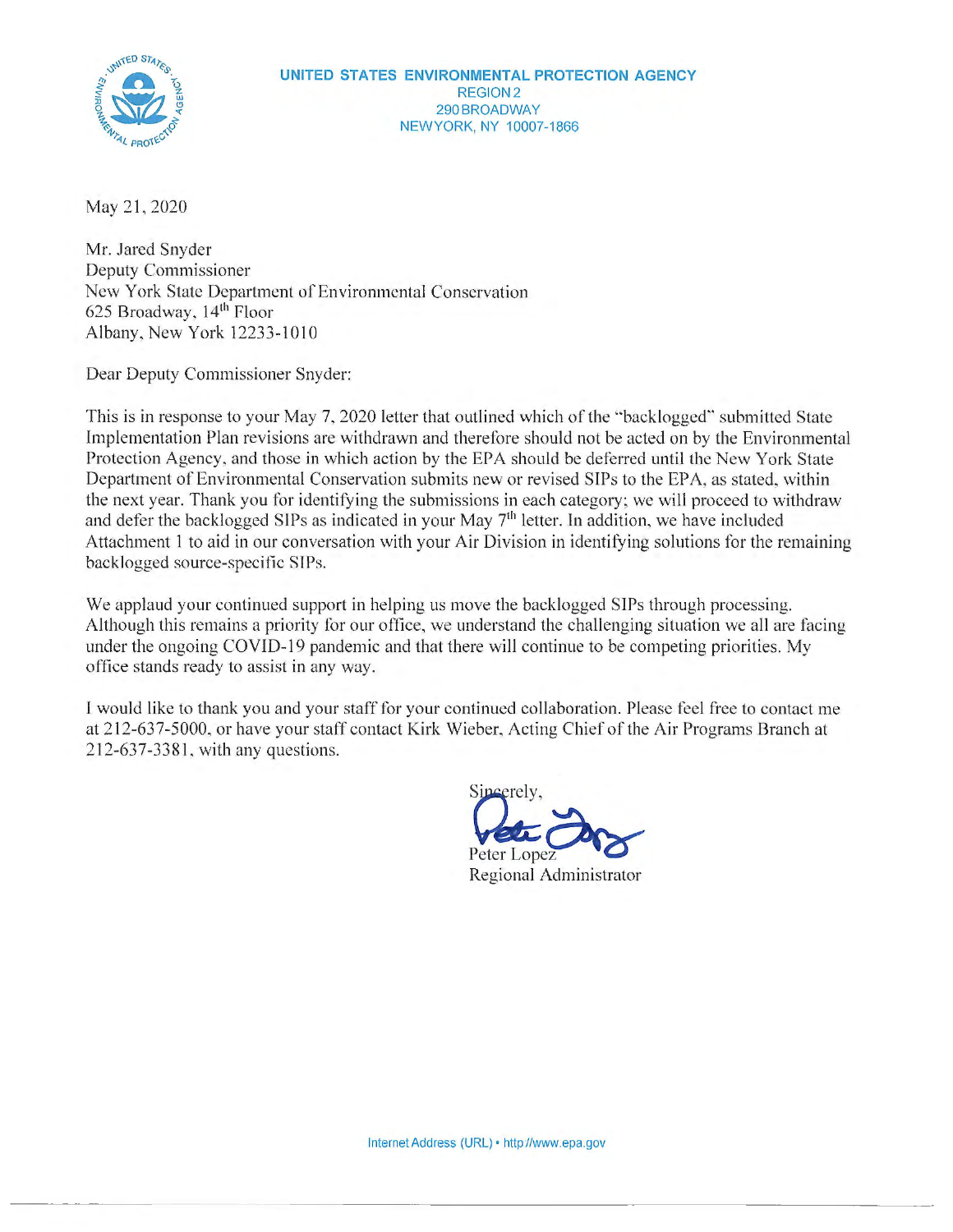

May 21, 2020

Mr. Jared Snyder Deputy Commissioner New York State Department of Environmental Conservation 625 Broadway, 14th Floor Albany, New York 12233 -1010

Dear Deputy Commissioner Snyder:

This is in response to your May 7, 2020 letter that outlined which of the "backlogged" submitted State Implementation Plan revisions are withdrawn and therefore should not be acted on by the Environmental Protection Agency, and those in which action by the EPA should be deferred until the New York State Department of Environmental Conservation submits new or revised SIPs to the EPA, as stated, within the next year. Thank you for identifying the submissions in each category; we will proceed to withdraw and defer the backlogged SIPs as indicated in your May  $7<sup>th</sup>$  letter. In addition, we have included Attachment 1 to aid in our conversation with your Air Division in identifying solutions for the remaining backlogged source-specific SIPs.

We applaud your continued support in helping us move the backlogged SIPs through processing. Although this remains a priority for our office, we understand the challenging situation we all are facing under the ongoing COVID-19 pandemic and that there will continue to be competing priorities. My office stands ready to assist in any way.

I would like to thank you and your staff for your continued collaboration. Please feel free to contact me at 212-637-5000, or have your staff contact Kirk Wieber, Acting Chief of the Air Programs Branch at 212-637-3381, with any questions.

Sincerely,

Regional Administrator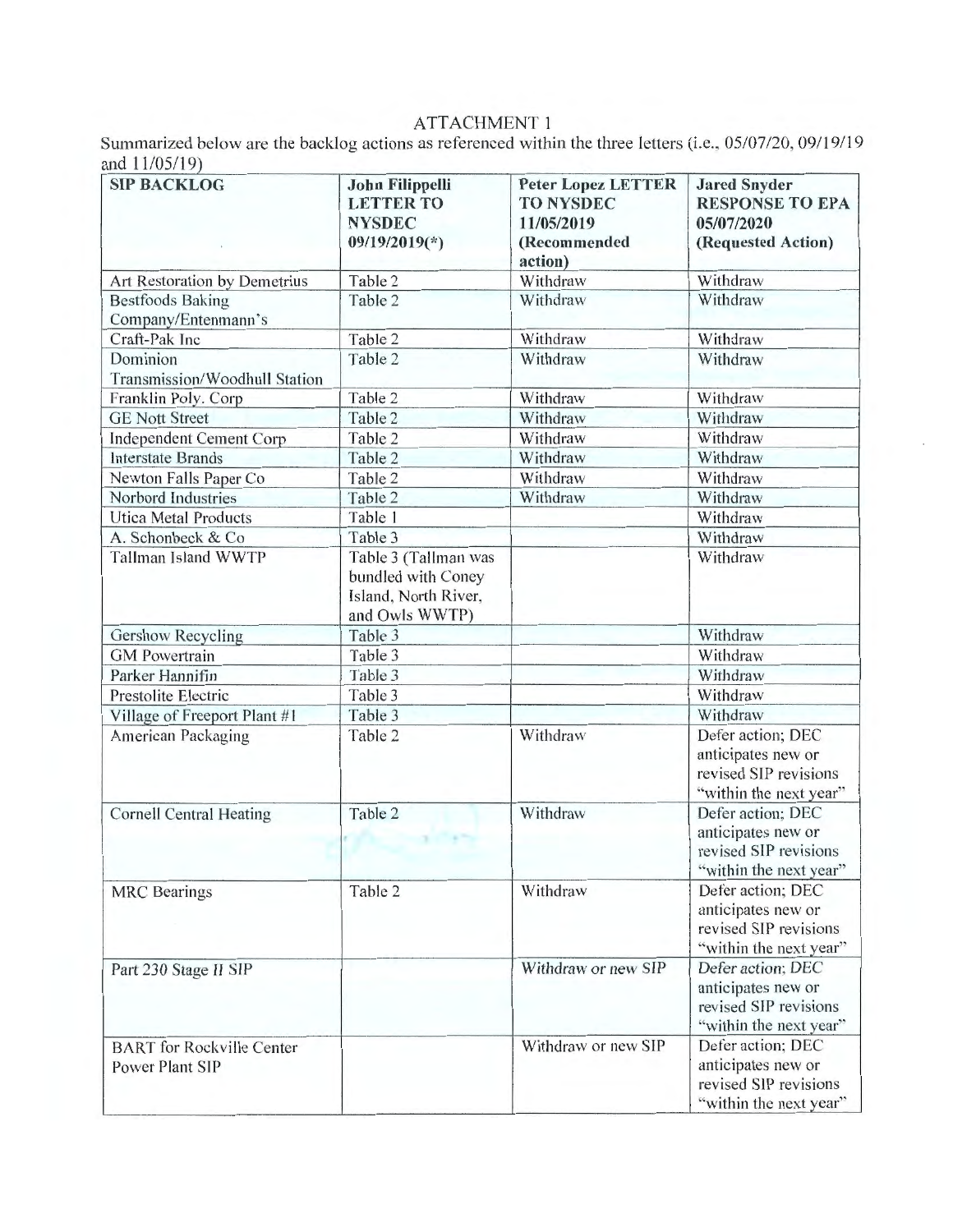## ATTACHMENT 1

Summarized below are the backlog actions as referenced within the three letters (i.e.,  $05/07/20$ ,  $09/19/19$ and 11/05/19)

| $\frac{11}{4}$<br><b>SIP BACKLOG</b>                       | <b>John Filippelli</b><br><b>LETTER TO</b><br><b>NYSDEC</b><br>$09/19/2019(*)$       | <b>Peter Lopez LETTER</b><br><b>TO NYSDEC</b><br>11/05/2019<br>(Recommended<br>action) | <b>Jared Snyder</b><br><b>RESPONSE TO EPA</b><br>05/07/2020<br>(Requested Action)          |
|------------------------------------------------------------|--------------------------------------------------------------------------------------|----------------------------------------------------------------------------------------|--------------------------------------------------------------------------------------------|
| Art Restoration by Demetrius                               | Table 2                                                                              | Withdraw                                                                               | Withdraw                                                                                   |
| <b>Bestfoods Baking</b><br>Company/Entenmann's             | Table 2                                                                              | Withdraw                                                                               | Withdraw                                                                                   |
| Craft-Pak Inc                                              | Table 2                                                                              | Withdraw                                                                               | Withdraw                                                                                   |
| Dominion<br>Transmission/Woodhull Station                  | Table 2                                                                              | Withdraw                                                                               | Withdraw                                                                                   |
| Franklin Poly. Corp                                        | Table 2                                                                              | Withdraw                                                                               | Withdraw                                                                                   |
| <b>GE Nott Street</b>                                      | Table 2                                                                              | Withdraw                                                                               | Withdraw                                                                                   |
| <b>Independent Cement Corp</b>                             | Table 2                                                                              | Withdraw                                                                               | Withdraw                                                                                   |
| <b>Interstate Brands</b>                                   | Table 2                                                                              | Withdraw                                                                               | Withdraw                                                                                   |
| Newton Falls Paper Co                                      | Table 2                                                                              | Withdraw                                                                               | Withdraw                                                                                   |
| Norbord Industries                                         | Table 2                                                                              | Withdraw                                                                               | Withdraw                                                                                   |
| <b>Utica Metal Products</b>                                | Table 1                                                                              |                                                                                        | Withdraw                                                                                   |
| A. Schonbeck & Co.                                         | Table 3                                                                              |                                                                                        | Withdraw                                                                                   |
| Tallman Island WWTP                                        | Table 3 (Tallman was<br>bundled with Coney<br>Island, North River,<br>and Owls WWTP) |                                                                                        | Withdraw                                                                                   |
| <b>Gershow Recycling</b>                                   | Table 3                                                                              |                                                                                        | Withdraw                                                                                   |
| <b>GM</b> Powertrain                                       | Table 3                                                                              |                                                                                        | Withdraw                                                                                   |
| Parker Hannifin                                            | Table 3                                                                              |                                                                                        | Withdraw                                                                                   |
| Prestolite Electric                                        | Table 3                                                                              |                                                                                        | Withdraw                                                                                   |
| Village of Freeport Plant #1                               | Table 3                                                                              |                                                                                        | Withdraw                                                                                   |
| <b>American Packaging</b>                                  | Table 2                                                                              | Withdraw                                                                               | Defer action; DEC<br>anticipates new or<br>revised SIP revisions<br>"within the next year" |
| <b>Cornell Central Heating</b>                             | Table 2                                                                              | Withdraw                                                                               | Defer action; DEC<br>anticipates new or<br>revised SIP revisions<br>"within the next year" |
| <b>MRC</b> Bearings                                        | Table 2                                                                              | Withdraw                                                                               | Defer action; DEC<br>anticipates new or<br>revised SIP revisions<br>"within the next year" |
| Part 230 Stage II SIP                                      |                                                                                      | Withdraw or new SIP                                                                    | Defer action; DEC<br>anticipates new or<br>revised SIP revisions<br>"within the next year" |
| <b>BART</b> for Rockville Center<br><b>Power Plant SIP</b> |                                                                                      | Withdraw or new SIP                                                                    | Defer action; DEC<br>anticipates new or<br>revised SIP revisions<br>"within the next year" |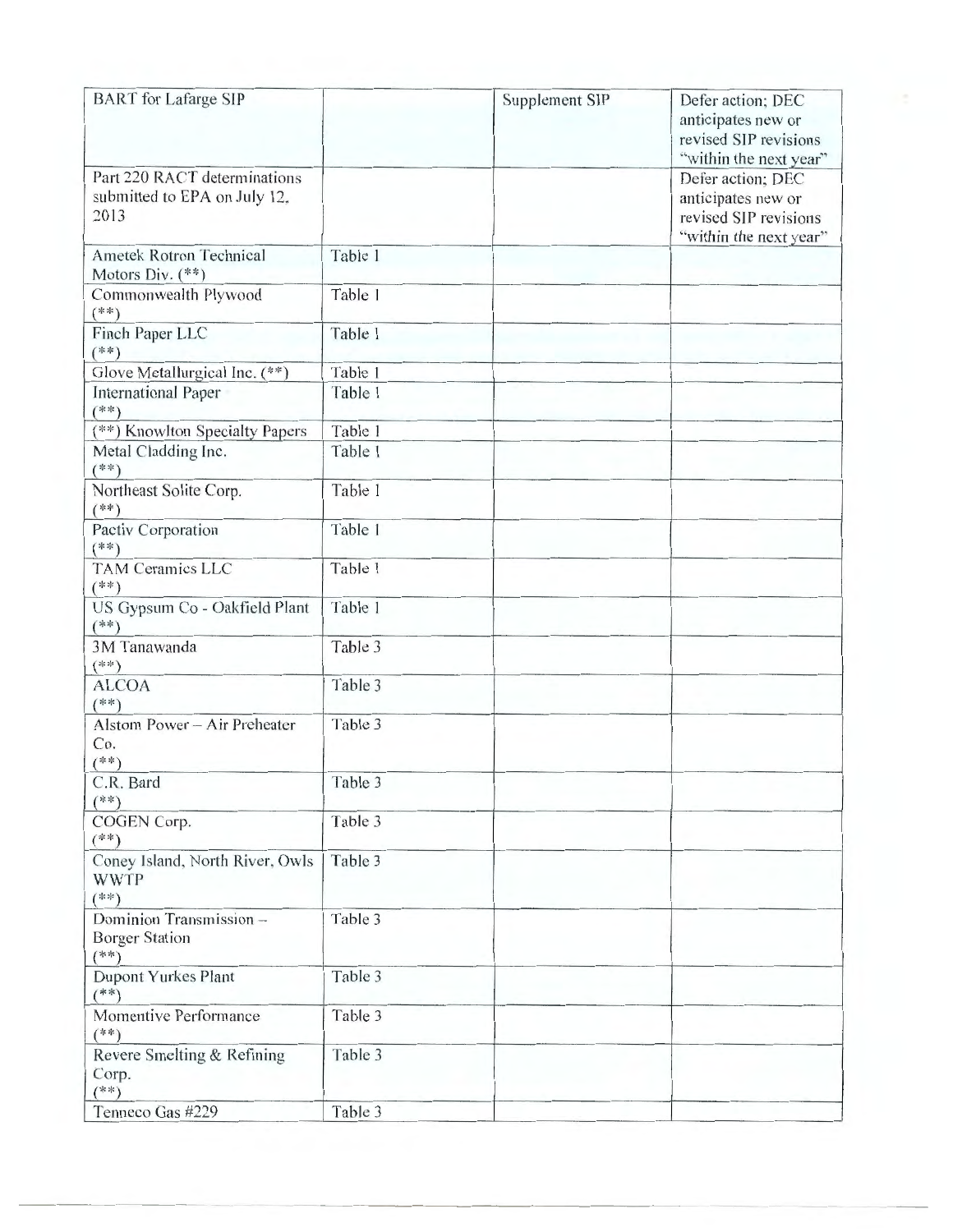| <b>BART</b> for Lafarge SIP                                          |         | Supplement SIP | Defer action; DEC<br>anticipates new or<br>revised SIP revisions<br>"within the next year" |
|----------------------------------------------------------------------|---------|----------------|--------------------------------------------------------------------------------------------|
| Part 220 RACT determinations<br>submitted to EPA on July 12,<br>2013 |         |                | Defer action; DEC<br>anticipates new or<br>revised SIP revisions<br>"within the next year" |
| <b>Ametek Rotron Technical</b><br>Motors Div. (**)                   | Table 1 |                |                                                                                            |
| Commonwealth Plywood<br>$(**)$                                       | Table 1 |                |                                                                                            |
| Finch Paper LLC<br>$(**)$                                            | Table 1 |                |                                                                                            |
| Glove Metallurgical Inc. (**)                                        | Table 1 |                |                                                                                            |
| <b>International Paper</b><br>$(**)$                                 | Table 1 |                |                                                                                            |
| (**) Knowlton Specialty Papers                                       | Table 1 |                |                                                                                            |
| Metal Cladding Inc.<br>$(**)$                                        | Table 1 |                |                                                                                            |
| Northeast Solite Corp.<br>$(**)$                                     | Table 1 |                |                                                                                            |
| Pactiv Corporation<br>$(**)$                                         | Table 1 |                |                                                                                            |
| <b>TAM Ceramics LLC</b><br>$(**)$                                    | Table 1 |                |                                                                                            |
| US Gypsum Co - Oakfield Plant<br>$(**)$                              | Table 1 |                |                                                                                            |
| 3M Tanawanda<br>$(**)$                                               | Table 3 |                |                                                                                            |
| <b>ALCOA</b><br>$(**)$                                               | Table 3 |                |                                                                                            |
| Alstom Power - Air Preheater<br>Co.<br>$(***)$                       | Table 3 |                |                                                                                            |
| C.R. Bard<br>$(**)$                                                  | Table 3 |                |                                                                                            |
| COGEN Corp.<br>$(**)$                                                | Table 3 |                |                                                                                            |
| Coney Island, North River, Owls<br><b>WWTP</b><br>$(**)$             | Table 3 |                |                                                                                            |
| Dominion Transmission-<br><b>Borger Station</b><br>$(**)$            | Table 3 |                |                                                                                            |
| Dupont Yurkes Plant<br>$(**)$                                        | Table 3 |                |                                                                                            |
| Momentive Performance<br>$(**)$                                      | Table 3 |                |                                                                                            |
| Revere Smelting & Refining<br>Corp.<br>$(**)$                        | Table 3 |                |                                                                                            |
| Tenneco Gas #229                                                     | Table 3 |                |                                                                                            |